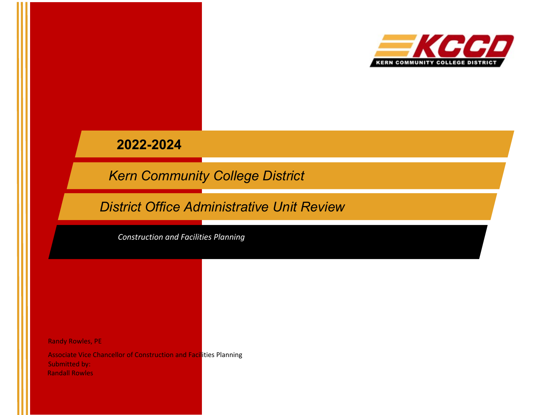

**2022-2024**

*Kern Community College District*

*District Office Administrative Unit Review*

*Construction and Facilities Planning*

Randy Rowles, PE

Associate Vice Chancellor of Construction and Facilities Planning Submitted by: Randall Rowles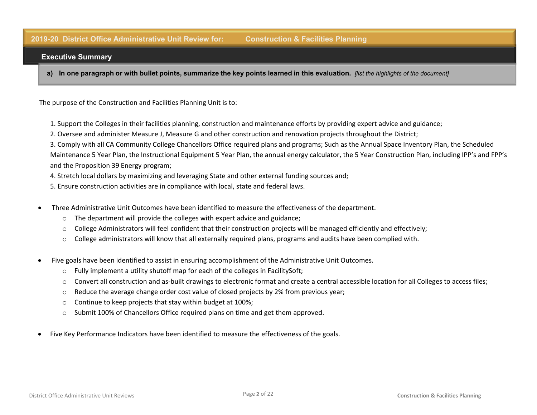#### **2019-20 District Office Administrative Unit Review for: Construction & Facilities Planning**

#### **Executive Summary**

**a) In one paragraph or with bullet points, summarize the key points learned in this evaluation.** *[list the highlights of the document]*

The purpose of the Construction and Facilities Planning Unit is to:

- 1. Support the Colleges in their facilities planning, construction and maintenance efforts by providing expert advice and guidance;
- 2. Oversee and administer Measure J, Measure G and other construction and renovation projects throughout the District;
- 3. Comply with all CA Community College Chancellors Office required plans and programs; Such as the Annual Space Inventory Plan, the Scheduled Maintenance 5 Year Plan, the Instructional Equipment 5 Year Plan, the annual energy calculator, the 5 Year Construction Plan, including IPP's and FPP's and the Proposition 39 Energy program;
- 4. Stretch local dollars by maximizing and leveraging State and other external funding sources and;
- 5. Ensure construction activities are in compliance with local, state and federal laws.
- Three Administrative Unit Outcomes have been identified to measure the effectiveness of the department.
	- o The department will provide the colleges with expert advice and guidance;
	- $\circ$  College Administrators will feel confident that their construction projects will be managed efficiently and effectively;
	- o College administrators will know that all externally required plans, programs and audits have been complied with.
- Five goals have been identified to assist in ensuring accomplishment of the Administrative Unit Outcomes.
	- $\circ$  Fully implement a utility shutoff map for each of the colleges in FacilitySoft;
	- o Convert all construction and as-built drawings to electronic format and create a central accessible location for all Colleges to access files;
	- $\circ$  Reduce the average change order cost value of closed projects by 2% from previous year;
	- o Continue to keep projects that stay within budget at 100%;
	- o Submit 100% of Chancellors Office required plans on time and get them approved.
- Five Key Performance Indicators have been identified to measure the effectiveness of the goals.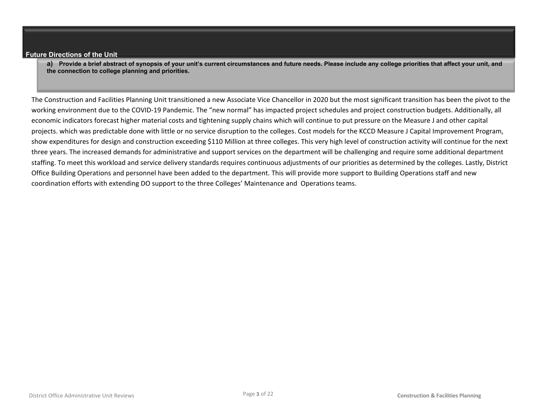#### **Future Directions of the Unit**

**a) Provide a brief abstract of synopsis of your unit's current circumstances and future needs. Please include any college priorities that affect your unit, and the connection to college planning and priorities.**

The Construction and Facilities Planning Unit transitioned a new Associate Vice Chancellor in 2020 but the most significant transition has been the pivot to the working environment due to the COVID-19 Pandemic. The "new normal" has impacted project schedules and project construction budgets. Additionally, all economic indicators forecast higher material costs and tightening supply chains which will continue to put pressure on the Measure J and other capital projects. which was predictable done with little or no service disruption to the colleges. Cost models for the KCCD Measure J Capital Improvement Program, show expenditures for design and construction exceeding \$110 Million at three colleges. This very high level of construction activity will continue for the next three years. The increased demands for administrative and support services on the department will be challenging and require some additional department staffing. To meet this workload and service delivery standards requires continuous adjustments of our priorities as determined by the colleges. Lastly, District Office Building Operations and personnel have been added to the department. This will provide more support to Building Operations staff and new coordination efforts with extending DO support to the three Colleges' Maintenance and Operations teams.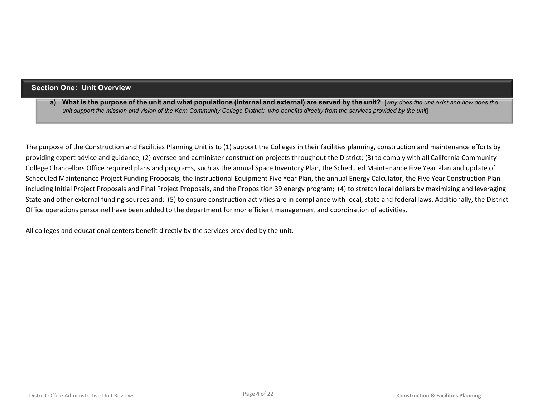### **Section One: Unit Overview**

**a) What is the purpose of the unit and what populations (internal and external) are served by the unit?** [*why does the unit exist and how does the unit support the mission and vision of the Kern Community College District; who benefits directly from the services provided by the unit*]

The purpose of the Construction and Facilities Planning Unit is to (1) support the Colleges in their facilities planning, construction and maintenance efforts by providing expert advice and guidance; (2) oversee and administer construction projects throughout the District; (3) to comply with all California Community College Chancellors Office required plans and programs, such as the annual Space Inventory Plan, the Scheduled Maintenance Five Year Plan and update of Scheduled Maintenance Project Funding Proposals, the Instructional Equipment Five Year Plan, the annual Energy Calculator, the Five Year Construction Plan including Initial Project Proposals and Final Project Proposals, and the Proposition 39 energy program; (4) to stretch local dollars by maximizing and leveraging State and other external funding sources and; (5) to ensure construction activities are in compliance with local, state and federal laws. Additionally, the District Office operations personnel have been added to the department for mor efficient management and coordination of activities.

All colleges and educational centers benefit directly by the services provided by the unit.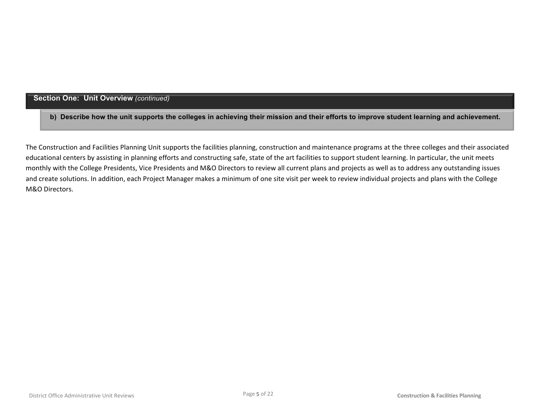## **Section One: Unit Overview** *(continued)*

**b) Describe how the unit supports the colleges in achieving their mission and their efforts to improve student learning and achievement.**

The Construction and Facilities Planning Unit supports the facilities planning, construction and maintenance programs at the three colleges and their associated educational centers by assisting in planning efforts and constructing safe, state of the art facilities to support student learning. In particular, the unit meets monthly with the College Presidents, Vice Presidents and M&O Directors to review all current plans and projects as well as to address any outstanding issues and create solutions. In addition, each Project Manager makes a minimum of one site visit per week to review individual projects and plans with the College M&O Directors.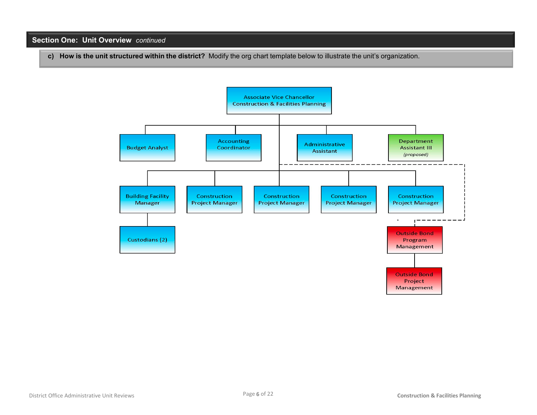## **Section One: Unit Overview** *continued*

**c) How is the unit structured within the district?** Modify the org chart template below to illustrate the unit's organization.

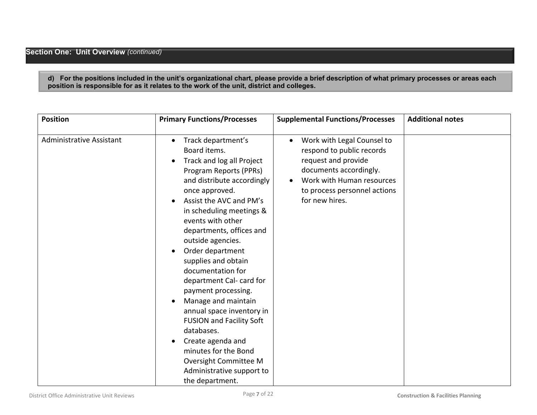**d) For the positions included in the unit's organizational chart, please provide a brief description of what primary processes or areas each position is responsible for as it relates to the work of the unit, district and colleges.**

| <b>Position</b>                 | <b>Primary Functions/Processes</b>                                                                                                                                                                                                                                                                                                                                                                                                                                                                                                    | <b>Supplemental Functions/Processes</b>                                                                                                                                                              | <b>Additional notes</b> |
|---------------------------------|---------------------------------------------------------------------------------------------------------------------------------------------------------------------------------------------------------------------------------------------------------------------------------------------------------------------------------------------------------------------------------------------------------------------------------------------------------------------------------------------------------------------------------------|------------------------------------------------------------------------------------------------------------------------------------------------------------------------------------------------------|-------------------------|
| <b>Administrative Assistant</b> | Track department's<br>$\bullet$<br>Board items.<br>Track and log all Project<br>Program Reports (PPRs)<br>and distribute accordingly<br>once approved.<br>Assist the AVC and PM's<br>in scheduling meetings &<br>events with other<br>departments, offices and<br>outside agencies.<br>Order department<br>$\bullet$<br>supplies and obtain<br>documentation for<br>department Cal- card for<br>payment processing.<br>Manage and maintain<br>$\bullet$<br>annual space inventory in<br><b>FUSION and Facility Soft</b><br>databases. | Work with Legal Counsel to<br>$\bullet$<br>respond to public records<br>request and provide<br>documents accordingly.<br>Work with Human resources<br>to process personnel actions<br>for new hires. |                         |
|                                 | Create agenda and<br>$\bullet$<br>minutes for the Bond<br>Oversight Committee M<br>Administrative support to<br>the department.                                                                                                                                                                                                                                                                                                                                                                                                       |                                                                                                                                                                                                      |                         |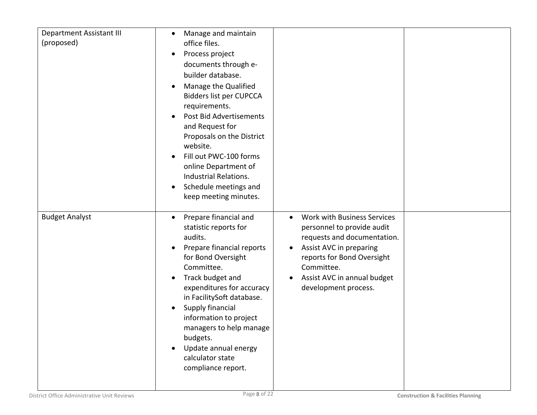| <b>Department Assistant III</b> | Manage and maintain<br>$\bullet$         |                                          |  |
|---------------------------------|------------------------------------------|------------------------------------------|--|
| (proposed)                      | office files.                            |                                          |  |
|                                 | Process project<br>$\bullet$             |                                          |  |
|                                 | documents through e-                     |                                          |  |
|                                 | builder database.                        |                                          |  |
|                                 | Manage the Qualified<br>$\bullet$        |                                          |  |
|                                 | <b>Bidders list per CUPCCA</b>           |                                          |  |
|                                 | requirements.                            |                                          |  |
|                                 | Post Bid Advertisements                  |                                          |  |
|                                 | and Request for                          |                                          |  |
|                                 | Proposals on the District                |                                          |  |
|                                 | website.                                 |                                          |  |
|                                 | Fill out PWC-100 forms                   |                                          |  |
|                                 | online Department of                     |                                          |  |
|                                 | Industrial Relations.                    |                                          |  |
|                                 | Schedule meetings and<br>$\bullet$       |                                          |  |
|                                 | keep meeting minutes.                    |                                          |  |
|                                 |                                          |                                          |  |
|                                 |                                          |                                          |  |
| <b>Budget Analyst</b>           | Prepare financial and<br>$\bullet$       | Work with Business Services<br>$\bullet$ |  |
|                                 | statistic reports for                    | personnel to provide audit               |  |
|                                 | audits.                                  | requests and documentation.              |  |
|                                 | Prepare financial reports<br>$\bullet$   | Assist AVC in preparing<br>$\bullet$     |  |
|                                 | for Bond Oversight                       | reports for Bond Oversight               |  |
|                                 | Committee.                               | Committee.                               |  |
|                                 | Track budget and<br>$\bullet$            | Assist AVC in annual budget<br>$\bullet$ |  |
|                                 | expenditures for accuracy                | development process.                     |  |
|                                 | in FacilitySoft database.                |                                          |  |
|                                 | Supply financial                         |                                          |  |
|                                 | information to project                   |                                          |  |
|                                 | managers to help manage                  |                                          |  |
|                                 | budgets.                                 |                                          |  |
|                                 | Update annual energy<br>calculator state |                                          |  |
|                                 | compliance report.                       |                                          |  |
|                                 |                                          |                                          |  |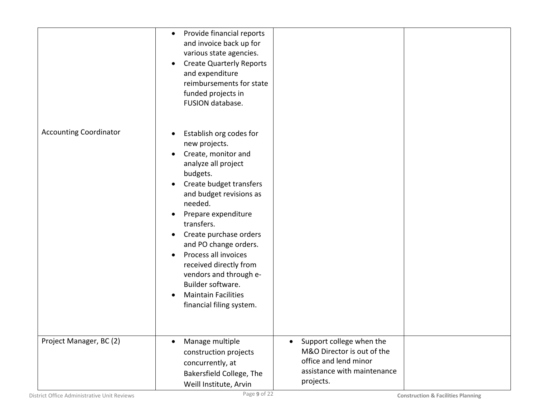|                               | Provide financial reports<br>$\bullet$<br>and invoice back up for<br>various state agencies.<br><b>Create Quarterly Reports</b><br>$\bullet$<br>and expenditure<br>reimbursements for state<br>funded projects in<br>FUSION database.                                                                                                                                                                                                                                                                |                                                                                                                                          |  |
|-------------------------------|------------------------------------------------------------------------------------------------------------------------------------------------------------------------------------------------------------------------------------------------------------------------------------------------------------------------------------------------------------------------------------------------------------------------------------------------------------------------------------------------------|------------------------------------------------------------------------------------------------------------------------------------------|--|
| <b>Accounting Coordinator</b> | Establish org codes for<br>$\bullet$<br>new projects.<br>Create, monitor and<br>$\bullet$<br>analyze all project<br>budgets.<br>Create budget transfers<br>and budget revisions as<br>needed.<br>Prepare expenditure<br>$\bullet$<br>transfers.<br>Create purchase orders<br>$\bullet$<br>and PO change orders.<br>Process all invoices<br>$\bullet$<br>received directly from<br>vendors and through e-<br>Builder software.<br><b>Maintain Facilities</b><br>$\bullet$<br>financial filing system. |                                                                                                                                          |  |
| Project Manager, BC (2)       | Manage multiple<br>$\bullet$<br>construction projects<br>concurrently, at<br>Bakersfield College, The<br>Weill Institute, Arvin                                                                                                                                                                                                                                                                                                                                                                      | Support college when the<br>$\bullet$<br>M&O Director is out of the<br>office and lend minor<br>assistance with maintenance<br>projects. |  |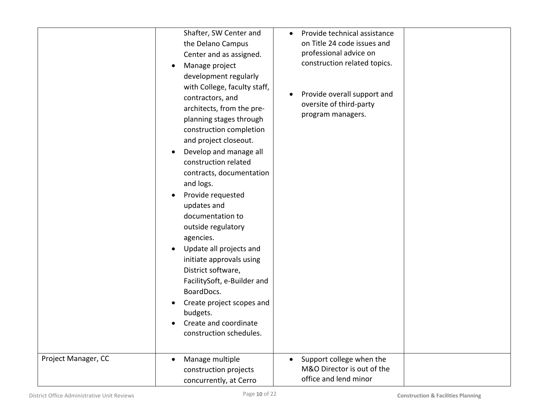| Project Manager, CC | Shafter, SW Center and<br>the Delano Campus<br>Center and as assigned.<br>Manage project<br>$\bullet$<br>development regularly<br>with College, faculty staff,<br>contractors, and<br>architects, from the pre-<br>planning stages through<br>construction completion<br>and project closeout.<br>Develop and manage all<br>$\bullet$<br>construction related<br>contracts, documentation<br>and logs.<br>Provide requested<br>$\bullet$<br>updates and<br>documentation to<br>outside regulatory<br>agencies.<br>Update all projects and<br>initiate approvals using<br>District software,<br>FacilitySoft, e-Builder and<br>BoardDocs.<br>Create project scopes and<br>$\bullet$<br>budgets.<br>Create and coordinate<br>construction schedules.<br>Manage multiple<br>$\bullet$ | Provide technical assistance<br>$\bullet$<br>on Title 24 code issues and<br>professional advice on<br>construction related topics.<br>Provide overall support and<br>oversite of third-party<br>program managers.<br>Support college when the |  |
|---------------------|------------------------------------------------------------------------------------------------------------------------------------------------------------------------------------------------------------------------------------------------------------------------------------------------------------------------------------------------------------------------------------------------------------------------------------------------------------------------------------------------------------------------------------------------------------------------------------------------------------------------------------------------------------------------------------------------------------------------------------------------------------------------------------|-----------------------------------------------------------------------------------------------------------------------------------------------------------------------------------------------------------------------------------------------|--|
|                     | construction projects<br>concurrently, at Cerro                                                                                                                                                                                                                                                                                                                                                                                                                                                                                                                                                                                                                                                                                                                                    | M&O Director is out of the<br>office and lend minor                                                                                                                                                                                           |  |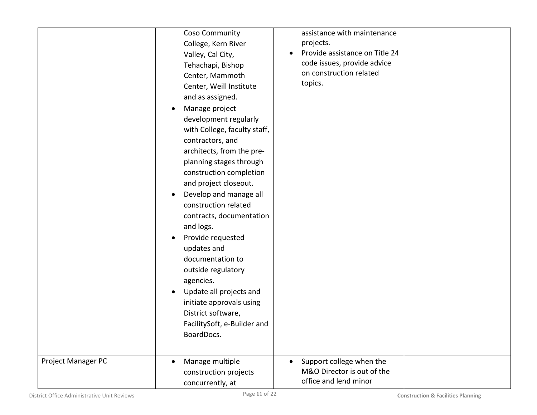|                    | Coso Community<br>College, Kern River<br>Valley, Cal City,<br>Tehachapi, Bishop<br>Center, Mammoth<br>Center, Weill Institute<br>and as assigned.<br>Manage project<br>$\bullet$<br>development regularly<br>with College, faculty staff,<br>contractors, and<br>architects, from the pre-<br>planning stages through<br>construction completion<br>and project closeout.<br>Develop and manage all<br>$\bullet$<br>construction related<br>contracts, documentation<br>and logs.<br>Provide requested<br>$\bullet$<br>updates and<br>documentation to<br>outside regulatory<br>agencies.<br>Update all projects and<br>$\bullet$<br>initiate approvals using<br>District software,<br>FacilitySoft, e-Builder and<br>BoardDocs. | assistance with maintenance<br>projects.<br>Provide assistance on Title 24<br>code issues, provide advice<br>on construction related<br>topics. |  |
|--------------------|----------------------------------------------------------------------------------------------------------------------------------------------------------------------------------------------------------------------------------------------------------------------------------------------------------------------------------------------------------------------------------------------------------------------------------------------------------------------------------------------------------------------------------------------------------------------------------------------------------------------------------------------------------------------------------------------------------------------------------|-------------------------------------------------------------------------------------------------------------------------------------------------|--|
| Project Manager PC | Manage multiple<br>$\bullet$<br>construction projects<br>concurrently, at                                                                                                                                                                                                                                                                                                                                                                                                                                                                                                                                                                                                                                                        | Support college when the<br>M&O Director is out of the<br>office and lend minor                                                                 |  |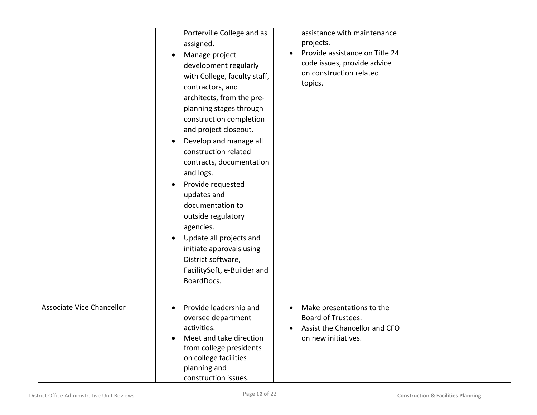|                           | Porterville College and as<br>assigned.<br>Manage project<br>development regularly<br>with College, faculty staff,<br>contractors, and<br>architects, from the pre-<br>planning stages through<br>construction completion<br>and project closeout.<br>Develop and manage all<br>$\bullet$<br>construction related<br>contracts, documentation<br>and logs.<br>Provide requested<br>updates and<br>documentation to<br>outside regulatory<br>agencies.<br>Update all projects and<br>$\bullet$<br>initiate approvals using<br>District software,<br>FacilitySoft, e-Builder and<br>BoardDocs. | assistance with maintenance<br>projects.<br>Provide assistance on Title 24<br>code issues, provide advice<br>on construction related<br>topics. |  |
|---------------------------|----------------------------------------------------------------------------------------------------------------------------------------------------------------------------------------------------------------------------------------------------------------------------------------------------------------------------------------------------------------------------------------------------------------------------------------------------------------------------------------------------------------------------------------------------------------------------------------------|-------------------------------------------------------------------------------------------------------------------------------------------------|--|
| Associate Vice Chancellor | Provide leadership and<br>$\bullet$<br>oversee department<br>activities.<br>Meet and take direction<br>$\bullet$<br>from college presidents<br>on college facilities<br>planning and<br>construction issues.                                                                                                                                                                                                                                                                                                                                                                                 | Make presentations to the<br>$\bullet$<br>Board of Trustees.<br>Assist the Chancellor and CFO<br>on new initiatives.                            |  |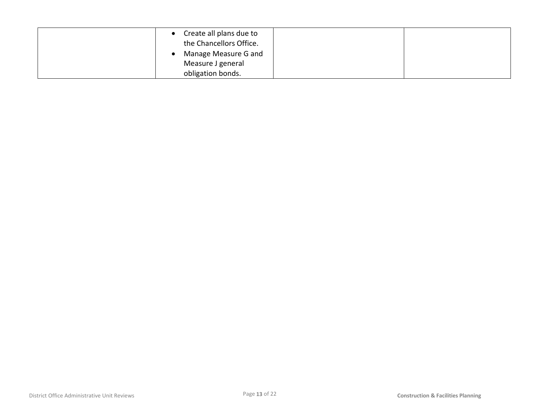| Create all plans due to<br>the Chancellors Office. |  |
|----------------------------------------------------|--|
| Manage Measure G and                               |  |
| Measure J general                                  |  |
| obligation bonds.                                  |  |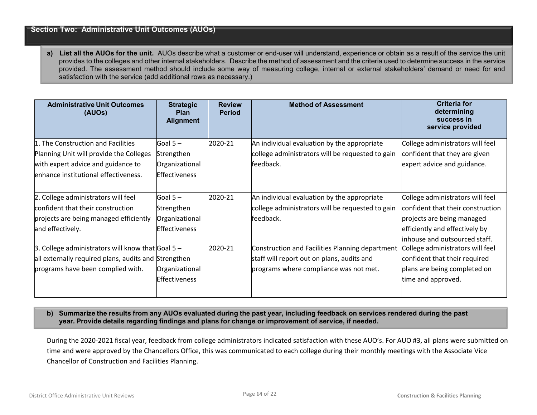#### **Section Two: Administrative Unit Outcomes (AUOs)**

**a) List all the AUOs for the unit.** AUOs describe what a customer or end-user will understand, experience or obtain as a result of the service the unit provides to the colleges and other internal stakeholders. Describe the method of assessment and the criteria used to determine success in the service provided. The assessment method should include some way of measuring college, internal or external stakeholders' demand or need for and satisfaction with the service (add additional rows as necessary.)

| <b>Administrative Unit Outcomes</b><br>(AUOs)              | <b>Strategic</b><br><b>Plan</b><br><b>Alignment</b> | <b>Review</b><br><b>Period</b> | <b>Method of Assessment</b>                      | <b>Criteria for</b><br>determining<br>success in<br>service provided |
|------------------------------------------------------------|-----------------------------------------------------|--------------------------------|--------------------------------------------------|----------------------------------------------------------------------|
| 1. The Construction and Facilities                         | Goal $5-$                                           | 2020-21                        | An individual evaluation by the appropriate      | College administrators will feel                                     |
| Planning Unit will provide the Colleges                    | Strengthen                                          |                                | college administrators will be requested to gain | confident that they are given                                        |
| with expert advice and guidance to                         | Organizational                                      |                                | feedback.                                        | expert advice and guidance.                                          |
| enhance institutional effectiveness.                       | <b>Effectiveness</b>                                |                                |                                                  |                                                                      |
| 2. College administrators will feel                        | Goal $5 -$                                          | 2020-21                        | An individual evaluation by the appropriate      | College administrators will feel                                     |
| confident that their construction                          | Strengthen                                          |                                | college administrators will be requested to gain | confident that their construction                                    |
| projects are being managed efficiently                     | Organizational                                      |                                | feedback.                                        | projects are being managed                                           |
| and effectively.                                           | <b>Effectiveness</b>                                |                                |                                                  | efficiently and effectively by                                       |
|                                                            |                                                     |                                |                                                  | inhouse and outsourced staff.                                        |
| 3. College administrators will know that $\text{Goal}$ 5 - |                                                     | 2020-21                        | Construction and Facilities Planning department  | College administrators will feel                                     |
| all externally required plans, audits and Strengthen       |                                                     |                                | staff will report out on plans, audits and       | confident that their required                                        |
| programs have been complied with.                          | Organizational                                      |                                | programs where compliance was not met.           | plans are being completed on                                         |
|                                                            | <b>Effectiveness</b>                                |                                |                                                  | time and approved.                                                   |

#### **b) Summarize the results from any AUOs evaluated during the past year, including feedback on services rendered during the past year. Provide details regarding findings and plans for change or improvement of service, if needed.**

During the 2020-2021 fiscal year, feedback from college administrators indicated satisfaction with these AUO's. For AUO #3, all plans were submitted on time and were approved by the Chancellors Office, this was communicated to each college during their monthly meetings with the Associate Vice Chancellor of Construction and Facilities Planning.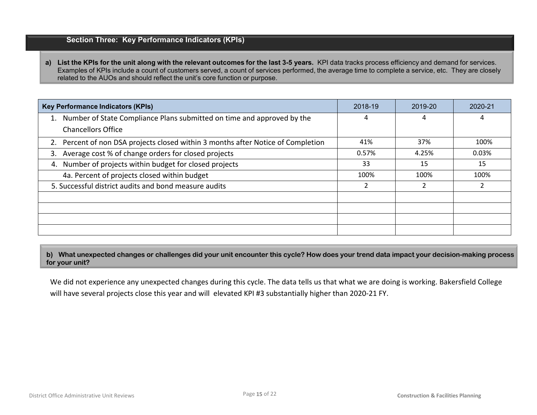## **Section Three: Key Performance Indicators (KPIs)**

**a) List the KPIs for the unit along with the relevant outcomes for the last 3-5 years.** KPI data tracks process efficiency and demand for services. Examples of KPIs include a count of customers served, a count of services performed, the average time to complete a service, etc. They are closely related to the AUOs and should reflect the unit's core function or purpose.

| <b>Key Performance Indicators (KPIs)</b>                                         | 2018-19 | 2019-20 | 2020-21 |
|----------------------------------------------------------------------------------|---------|---------|---------|
| 1. Number of State Compliance Plans submitted on time and approved by the        | 4       | 4       | 4       |
| <b>Chancellors Office</b>                                                        |         |         |         |
| 2. Percent of non DSA projects closed within 3 months after Notice of Completion | 41%     | 37%     | 100%    |
| 3. Average cost % of change orders for closed projects                           | 0.57%   | 4.25%   | 0.03%   |
| 4. Number of projects within budget for closed projects                          | 33      | 15      | 15      |
| 4a. Percent of projects closed within budget                                     | 100%    | 100%    | 100%    |
| 5. Successful district audits and bond measure audits                            |         |         | 2       |
|                                                                                  |         |         |         |
|                                                                                  |         |         |         |
|                                                                                  |         |         |         |
|                                                                                  |         |         |         |

**b) What unexpected changes or challenges did your unit encounter this cycle? How does your trend data impact your decision-making process for your unit?**

We did not experience any unexpected changes during this cycle. The data tells us that what we are doing is working. Bakersfield College will have several projects close this year and will elevated KPI #3 substantially higher than 2020-21 FY.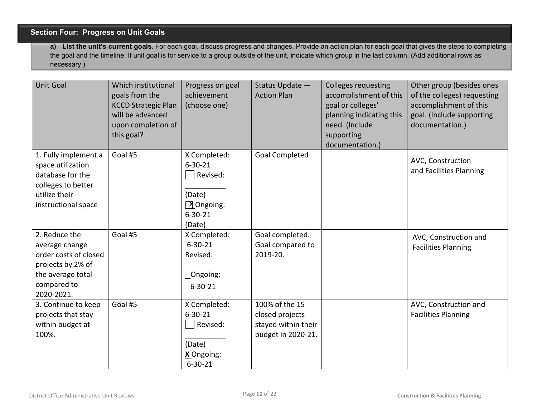## **Section Four: Progress on Unit Goals**

**a) List the unit's current goals**. For each goal, discuss progress and changes. Provide an action plan for each goal that gives the steps to completing the goal and the timeline. If unit goal is for service to a group outside of the unit, indicate which group in the last column. (Add additional rows as necessary.)

| <b>Unit Goal</b>                                                                                                                | Which institutional<br>goals from the<br><b>KCCD Strategic Plan</b><br>will be advanced<br>upon completion of<br>this goal? | Progress on goal<br>achievement<br>(choose one)                                                       | Status Update -<br><b>Action Plan</b>                                          | <b>Colleges requesting</b><br>accomplishment of this<br>goal or colleges'<br>planning indicating this<br>need. (Include<br>supporting<br>documentation.) | Other group (besides ones<br>of the colleges) requesting<br>accomplishment of this<br>goal. (Include supporting<br>documentation.) |
|---------------------------------------------------------------------------------------------------------------------------------|-----------------------------------------------------------------------------------------------------------------------------|-------------------------------------------------------------------------------------------------------|--------------------------------------------------------------------------------|----------------------------------------------------------------------------------------------------------------------------------------------------------|------------------------------------------------------------------------------------------------------------------------------------|
| 1. Fully implement a<br>space utilization<br>database for the<br>colleges to better<br>utilize their<br>instructional space     | Goal #5                                                                                                                     | X Completed:<br>$6 - 30 - 21$<br>Revised:<br>(Date)<br>$\sqrt{X}$ Ongoing:<br>$6 - 30 - 21$<br>(Date) | <b>Goal Completed</b>                                                          |                                                                                                                                                          | AVC, Construction<br>and Facilities Planning                                                                                       |
| 2. Reduce the<br>average change<br>order costs of closed<br>projects by 2% of<br>the average total<br>compared to<br>2020-2021. | Goal #5                                                                                                                     | X Completed:<br>$6 - 30 - 21$<br>Revised:<br>_Ongoing:<br>$6 - 30 - 21$                               | Goal completed.<br>Goal compared to<br>2019-20.                                |                                                                                                                                                          | AVC, Construction and<br><b>Facilities Planning</b>                                                                                |
| 3. Continue to keep<br>projects that stay<br>within budget at<br>100%.                                                          | Goal #5                                                                                                                     | X Completed:<br>$6 - 30 - 21$<br>Revised:<br>(Date)<br>X Ongoing:<br>$6 - 30 - 21$                    | 100% of the 15<br>closed projects<br>stayed within their<br>budget in 2020-21. |                                                                                                                                                          | AVC, Construction and<br><b>Facilities Planning</b>                                                                                |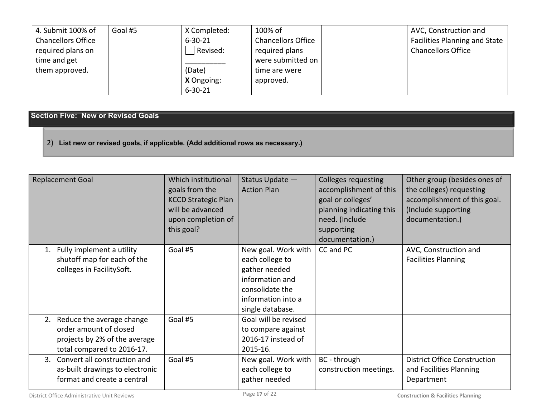| 4. Submit 100% of         | Goal #5 | X Completed:  | 100% of                   | AVC, Construction and                |
|---------------------------|---------|---------------|---------------------------|--------------------------------------|
| <b>Chancellors Office</b> |         | $6 - 30 - 21$ | <b>Chancellors Office</b> | <b>Facilities Planning and State</b> |
| required plans on         |         | Revised:      | required plans            | <b>Chancellors Office</b>            |
| time and get              |         |               | were submitted on         |                                      |
| them approved.            |         | (Date)        | time are were             |                                      |
|                           |         | X Ongoing:    | approved.                 |                                      |
|                           |         | $6 - 30 - 21$ |                           |                                      |

## **Section Five: New or Revised Goals**

2) **List new or revised goals, if applicable. (Add additional rows as necessary.)**

| <b>Replacement Goal</b>                                                                                               | Which institutional<br>goals from the<br><b>KCCD Strategic Plan</b><br>will be advanced<br>upon completion of<br>this goal? | Status Update -<br><b>Action Plan</b>                                                                                                   | <b>Colleges requesting</b><br>accomplishment of this<br>goal or colleges'<br>planning indicating this<br>need. (Include<br>supporting<br>documentation.) | Other group (besides ones of<br>the colleges) requesting<br>accomplishment of this goal.<br>(Include supporting<br>documentation.) |
|-----------------------------------------------------------------------------------------------------------------------|-----------------------------------------------------------------------------------------------------------------------------|-----------------------------------------------------------------------------------------------------------------------------------------|----------------------------------------------------------------------------------------------------------------------------------------------------------|------------------------------------------------------------------------------------------------------------------------------------|
| 1. Fully implement a utility<br>shutoff map for each of the<br>colleges in FacilitySoft.                              | Goal #5                                                                                                                     | New goal. Work with<br>each college to<br>gather needed<br>information and<br>consolidate the<br>information into a<br>single database. | CC and PC                                                                                                                                                | AVC, Construction and<br><b>Facilities Planning</b>                                                                                |
| 2. Reduce the average change<br>order amount of closed<br>projects by 2% of the average<br>total compared to 2016-17. | Goal #5                                                                                                                     | Goal will be revised<br>to compare against<br>2016-17 instead of<br>2015-16.                                                            |                                                                                                                                                          |                                                                                                                                    |
| Convert all construction and<br>$3_{-}$<br>as-built drawings to electronic<br>format and create a central             | Goal #5                                                                                                                     | New goal. Work with<br>each college to<br>gather needed                                                                                 | BC - through<br>construction meetings.                                                                                                                   | <b>District Office Construction</b><br>and Facilities Planning<br>Department                                                       |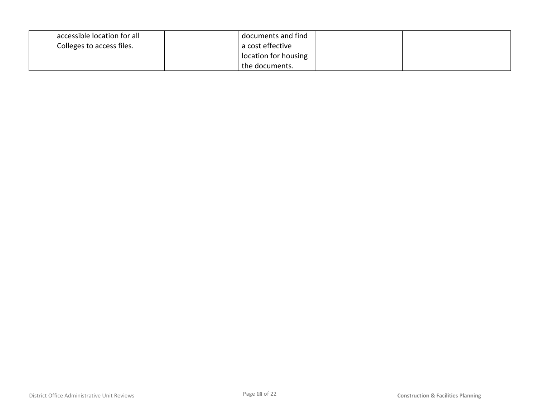| accessible location for all | documents and find   |  |
|-----------------------------|----------------------|--|
| Colleges to access files.   | a cost effective     |  |
|                             | location for housing |  |
|                             | the documents.       |  |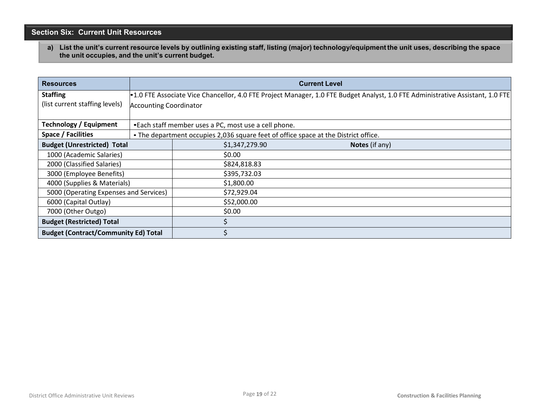## **Section Six: Current Unit Resources**

**a) List the unit's current resource levels by outlining existing staff, listing (major) technology/equipment the unit uses, describing the space the unit occupies, and the unit's current budget.**

| <b>Resources</b>                            | <b>Current Level</b>                                                                                                           |                                                                                     |                |  |
|---------------------------------------------|--------------------------------------------------------------------------------------------------------------------------------|-------------------------------------------------------------------------------------|----------------|--|
| <b>Staffing</b>                             | •1.0 FTE Associate Vice Chancellor, 4.0 FTE Project Manager, 1.0 FTE Budget Analyst, 1.0 FTE Administrative Assistant, 1.0 FTE |                                                                                     |                |  |
| (list current staffing levels)              |                                                                                                                                | <b>Accounting Coordinator</b>                                                       |                |  |
| <b>Technology / Equipment</b>               | •Each staff member uses a PC, most use a cell phone.                                                                           |                                                                                     |                |  |
| Space / Facilities                          |                                                                                                                                | . The department occupies 2,036 square feet of office space at the District office. |                |  |
| <b>Budget (Unrestricted) Total</b>          |                                                                                                                                | \$1,347,279.90                                                                      | Notes (if any) |  |
| 1000 (Academic Salaries)                    |                                                                                                                                | \$0.00                                                                              |                |  |
| 2000 (Classified Salaries)                  |                                                                                                                                | \$824,818.83                                                                        |                |  |
| 3000 (Employee Benefits)                    |                                                                                                                                | \$395,732.03                                                                        |                |  |
| 4000 (Supplies & Materials)                 |                                                                                                                                | \$1,800.00                                                                          |                |  |
| 5000 (Operating Expenses and Services)      |                                                                                                                                | \$72,929.04                                                                         |                |  |
| 6000 (Capital Outlay)                       |                                                                                                                                | \$52,000.00                                                                         |                |  |
| 7000 (Other Outgo)                          |                                                                                                                                | \$0.00                                                                              |                |  |
| <b>Budget (Restricted) Total</b>            |                                                                                                                                |                                                                                     |                |  |
| <b>Budget (Contract/Community Ed) Total</b> |                                                                                                                                |                                                                                     |                |  |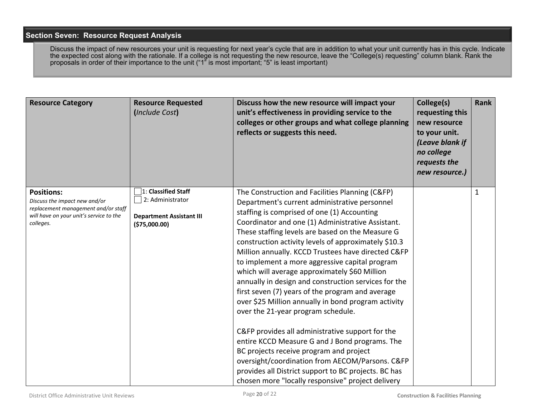#### **Section Seven: Resource Request Analysis**

Discuss the impact of new resources your unit is requesting for next year's cycle that are in addition to what your unit currently has in this cycle. Indicate the expected cost along with the rationale. If a college is not requesting the new resource, leave the "College(s) requesting" column blank. Rank the proposals in order of their importance to the unit ("1" is most important; "5" is least important)

| <b>Resource Category</b>                                                                                                                          | <b>Resource Requested</b><br>(Include Cost)                                                  | Discuss how the new resource will impact your<br>unit's effectiveness in providing service to the<br>colleges or other groups and what college planning<br>reflects or suggests this need.                                                                                                                                                                                                                                                                                                                                                                                                                                                                                                                                                                                                                                                                                                                                                                                                          | College(s)<br>requesting this<br>new resource<br>to your unit.<br>(Leave blank if<br>no college<br>requests the<br>new resource.) | Rank         |
|---------------------------------------------------------------------------------------------------------------------------------------------------|----------------------------------------------------------------------------------------------|-----------------------------------------------------------------------------------------------------------------------------------------------------------------------------------------------------------------------------------------------------------------------------------------------------------------------------------------------------------------------------------------------------------------------------------------------------------------------------------------------------------------------------------------------------------------------------------------------------------------------------------------------------------------------------------------------------------------------------------------------------------------------------------------------------------------------------------------------------------------------------------------------------------------------------------------------------------------------------------------------------|-----------------------------------------------------------------------------------------------------------------------------------|--------------|
| <b>Positions:</b><br>Discuss the impact new and/or<br>replacement management and/or staff<br>will have on your unit's service to the<br>colleges. | 1: Classified Staff<br>2: Administrator<br><b>Department Assistant III</b><br>( \$75,000.00) | The Construction and Facilities Planning (C&FP)<br>Department's current administrative personnel<br>staffing is comprised of one (1) Accounting<br>Coordinator and one (1) Administrative Assistant.<br>These staffing levels are based on the Measure G<br>construction activity levels of approximately \$10.3<br>Million annually. KCCD Trustees have directed C&FP<br>to implement a more aggressive capital program<br>which will average approximately \$60 Million<br>annually in design and construction services for the<br>first seven (7) years of the program and average<br>over \$25 Million annually in bond program activity<br>over the 21-year program schedule.<br>C&FP provides all administrative support for the<br>entire KCCD Measure G and J Bond programs. The<br>BC projects receive program and project<br>oversight/coordination from AECOM/Parsons. C&FP<br>provides all District support to BC projects. BC has<br>chosen more "locally responsive" project delivery |                                                                                                                                   | $\mathbf{1}$ |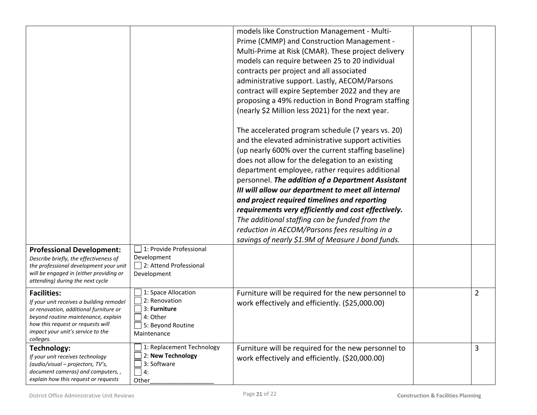| <b>Professional Development:</b>                                                                                                                                                                                                       | 1: Provide Professional                                                                              | models like Construction Management - Multi-<br>Prime (CMMP) and Construction Management -<br>Multi-Prime at Risk (CMAR). These project delivery<br>models can require between 25 to 20 individual<br>contracts per project and all associated<br>administrative support. Lastly, AECOM/Parsons<br>contract will expire September 2022 and they are<br>proposing a 49% reduction in Bond Program staffing<br>(nearly \$2 Million less 2021) for the next year.<br>The accelerated program schedule (7 years vs. 20)<br>and the elevated administrative support activities<br>(up nearly 600% over the current staffing baseline)<br>does not allow for the delegation to an existing<br>department employee, rather requires additional<br>personnel. The addition of a Department Assistant<br>III will allow our department to meet all internal<br>and project required timelines and reporting<br>requirements very efficiently and cost effectively.<br>The additional staffing can be funded from the<br>reduction in AECOM/Parsons fees resulting in a<br>savings of nearly \$1.9M of Measure J bond funds. |                |
|----------------------------------------------------------------------------------------------------------------------------------------------------------------------------------------------------------------------------------------|------------------------------------------------------------------------------------------------------|--------------------------------------------------------------------------------------------------------------------------------------------------------------------------------------------------------------------------------------------------------------------------------------------------------------------------------------------------------------------------------------------------------------------------------------------------------------------------------------------------------------------------------------------------------------------------------------------------------------------------------------------------------------------------------------------------------------------------------------------------------------------------------------------------------------------------------------------------------------------------------------------------------------------------------------------------------------------------------------------------------------------------------------------------------------------------------------------------------------------|----------------|
| Describe briefly, the effectiveness of<br>the professional development your unit<br>will be engaged in (either providing or<br>attending) during the next cycle                                                                        | Development<br>2: Attend Professional<br>Development                                                 |                                                                                                                                                                                                                                                                                                                                                                                                                                                                                                                                                                                                                                                                                                                                                                                                                                                                                                                                                                                                                                                                                                                    |                |
| <b>Facilities:</b><br>If your unit receives a building remodel<br>or renovation, additional furniture or<br>beyond routine maintenance, explain<br>how this request or requests will<br>impact your unit's service to the<br>colleges. | 1: Space Allocation<br>2: Renovation<br>3: Furniture<br>4: Other<br>5: Beyond Routine<br>Maintenance | Furniture will be required for the new personnel to<br>work effectively and efficiently. (\$25,000.00)                                                                                                                                                                                                                                                                                                                                                                                                                                                                                                                                                                                                                                                                                                                                                                                                                                                                                                                                                                                                             | $\overline{2}$ |
| Technology:<br>If your unit receives technology<br>(audio/visual - projectors, TV's,<br>document cameras) and computers,,<br>explain how this request or requests                                                                      | 1: Replacement Technology<br>2: New Technology<br>3: Software<br>4:<br>Other                         | Furniture will be required for the new personnel to<br>work effectively and efficiently. (\$20,000.00)                                                                                                                                                                                                                                                                                                                                                                                                                                                                                                                                                                                                                                                                                                                                                                                                                                                                                                                                                                                                             | 3              |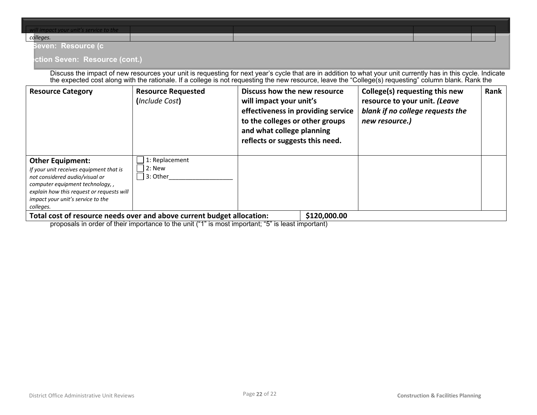| $\vert$ will impact your unit's service to the |  |  |  |
|------------------------------------------------|--|--|--|
| colleges.                                      |  |  |  |

#### **n Seven: Resource (c**

#### **Ction Seven: Resource (cont.)**

Discuss the impact of new resources your unit is requesting for next year's cycle that are in addition to what your unit currently has in this cycle. Indicate the expected cost along with the rationale. If a college is not requesting the new resource, leave the "College(s) requesting" column blank. Rank the

| <b>Resource Category</b>                                                                                                                                                                                                                | <b>Resource Requested</b><br>(Include Cost)    | Discuss how the new resource<br>will impact your unit's<br>effectiveness in providing service<br>to the colleges or other groups<br>and what college planning<br>reflects or suggests this need. | College(s) requesting this new<br>resource to your unit. (Leave<br>blank if no college requests the<br>new resource.) | <b>Rank</b> |
|-----------------------------------------------------------------------------------------------------------------------------------------------------------------------------------------------------------------------------------------|------------------------------------------------|--------------------------------------------------------------------------------------------------------------------------------------------------------------------------------------------------|-----------------------------------------------------------------------------------------------------------------------|-------------|
| <b>Other Equipment:</b><br>If your unit receives equipment that is<br>not considered audio/visual or<br>computer equipment technology, ,<br>explain how this request or requests will<br>impact your unit's service to the<br>colleges. | 1: Replacement<br>$ 2:$ New<br>$\Box$ 3: Other |                                                                                                                                                                                                  |                                                                                                                       |             |
| Total cost of resource needs over and above current budget allocation:<br>\$120,000.00                                                                                                                                                  |                                                |                                                                                                                                                                                                  |                                                                                                                       |             |

proposals in order of their importance to the unit ("1" is most important; "5" is least important)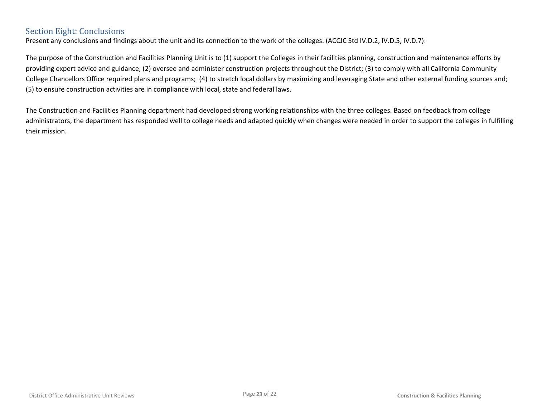## Section Eight: Conclusions

Present any conclusions and findings about the unit and its connection to the work of the colleges. (ACCJC Std IV.D.2, IV.D.5, IV.D.7):

The purpose of the Construction and Facilities Planning Unit is to (1) support the Colleges in their facilities planning, construction and maintenance efforts by providing expert advice and guidance; (2) oversee and administer construction projects throughout the District; (3) to comply with all California Community College Chancellors Office required plans and programs; (4) to stretch local dollars by maximizing and leveraging State and other external funding sources and; (5) to ensure construction activities are in compliance with local, state and federal laws.

The Construction and Facilities Planning department had developed strong working relationships with the three colleges. Based on feedback from college administrators, the department has responded well to college needs and adapted quickly when changes were needed in order to support the colleges in fulfilling their mission.